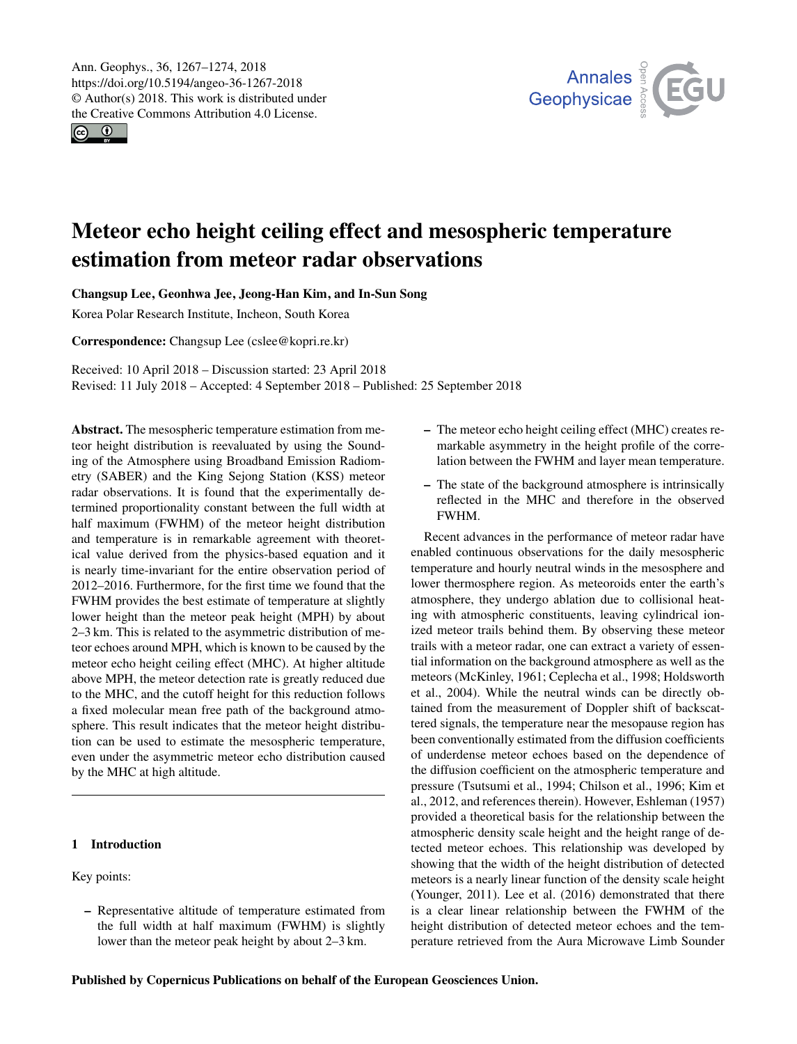<span id="page-0-0"></span>Ann. Geophys., 36, 1267–1274, 2018 https://doi.org/10.5194/angeo-36-1267-2018 © Author(s) 2018. This work is distributed under the Creative Commons Attribution 4.0 License.

 $\circledcirc$ 



# Meteor echo height ceiling effect and mesospheric temperature estimation from meteor radar observations

Changsup Lee, Geonhwa Jee, Jeong-Han Kim, and In-Sun Song

Korea Polar Research Institute, Incheon, South Korea

Correspondence: Changsup Lee (cslee@kopri.re.kr)

Received: 10 April 2018 – Discussion started: 23 April 2018 Revised: 11 July 2018 – Accepted: 4 September 2018 – Published: 25 September 2018

Abstract. The mesospheric temperature estimation from meteor height distribution is reevaluated by using the Sounding of the Atmosphere using Broadband Emission Radiometry (SABER) and the King Sejong Station (KSS) meteor radar observations. It is found that the experimentally determined proportionality constant between the full width at half maximum (FWHM) of the meteor height distribution and temperature is in remarkable agreement with theoretical value derived from the physics-based equation and it is nearly time-invariant for the entire observation period of 2012–2016. Furthermore, for the first time we found that the FWHM provides the best estimate of temperature at slightly lower height than the meteor peak height (MPH) by about 2–3 km. This is related to the asymmetric distribution of meteor echoes around MPH, which is known to be caused by the meteor echo height ceiling effect (MHC). At higher altitude above MPH, the meteor detection rate is greatly reduced due to the MHC, and the cutoff height for this reduction follows a fixed molecular mean free path of the background atmosphere. This result indicates that the meteor height distribution can be used to estimate the mesospheric temperature, even under the asymmetric meteor echo distribution caused by the MHC at high altitude.

## 1 Introduction

Key points:

– Representative altitude of temperature estimated from the full width at half maximum (FWHM) is slightly lower than the meteor peak height by about 2–3 km.

- The meteor echo height ceiling effect (MHC) creates remarkable asymmetry in the height profile of the correlation between the FWHM and layer mean temperature.
- The state of the background atmosphere is intrinsically reflected in the MHC and therefore in the observed FWHM.

Recent advances in the performance of meteor radar have enabled continuous observations for the daily mesospheric temperature and hourly neutral winds in the mesosphere and lower thermosphere region. As meteoroids enter the earth's atmosphere, they undergo ablation due to collisional heating with atmospheric constituents, leaving cylindrical ionized meteor trails behind them. By observing these meteor trails with a meteor radar, one can extract a variety of essential information on the background atmosphere as well as the meteors (McKinley, 1961; Ceplecha et al., 1998; Holdsworth et al., 2004). While the neutral winds can be directly obtained from the measurement of Doppler shift of backscattered signals, the temperature near the mesopause region has been conventionally estimated from the diffusion coefficients of underdense meteor echoes based on the dependence of the diffusion coefficient on the atmospheric temperature and pressure (Tsutsumi et al., 1994; Chilson et al., 1996; Kim et al., 2012, and references therein). However, Eshleman (1957) provided a theoretical basis for the relationship between the atmospheric density scale height and the height range of detected meteor echoes. This relationship was developed by showing that the width of the height distribution of detected meteors is a nearly linear function of the density scale height (Younger, 2011). Lee et al. (2016) demonstrated that there is a clear linear relationship between the FWHM of the height distribution of detected meteor echoes and the temperature retrieved from the Aura Microwave Limb Sounder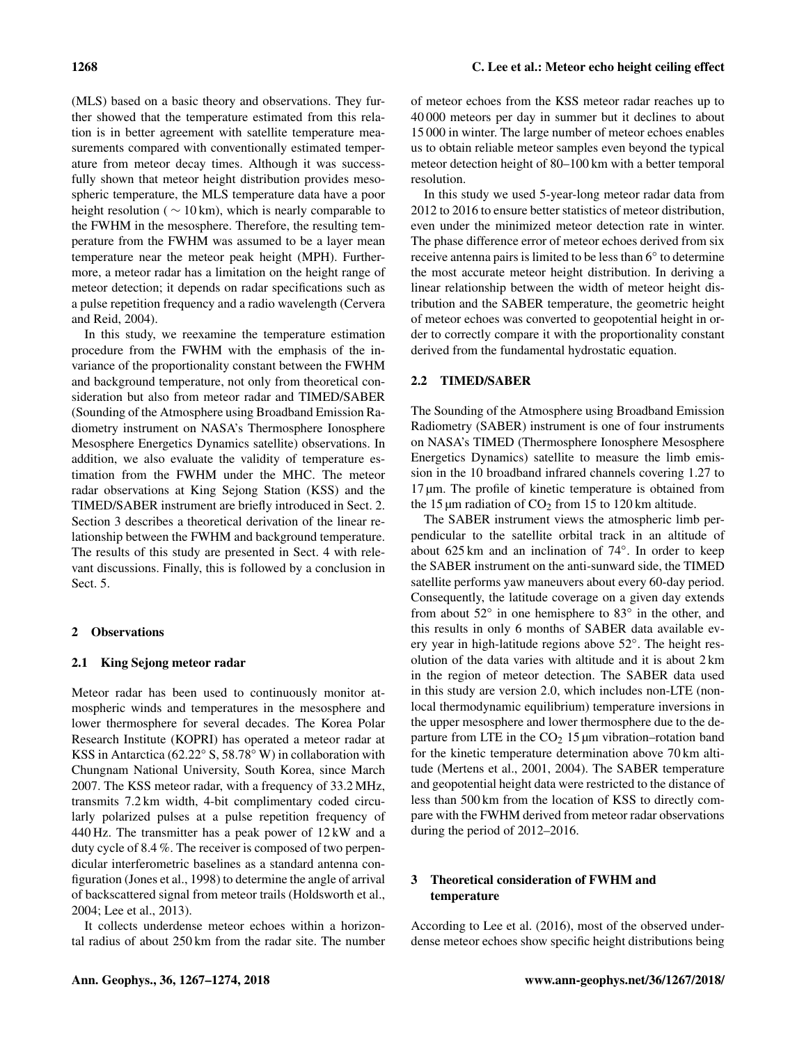(MLS) based on a basic theory and observations. They further showed that the temperature estimated from this relation is in better agreement with satellite temperature measurements compared with conventionally estimated temperature from meteor decay times. Although it was successfully shown that meteor height distribution provides mesospheric temperature, the MLS temperature data have a poor height resolution ( $\sim 10 \text{ km}$ ), which is nearly comparable to the FWHM in the mesosphere. Therefore, the resulting temperature from the FWHM was assumed to be a layer mean temperature near the meteor peak height (MPH). Furthermore, a meteor radar has a limitation on the height range of meteor detection; it depends on radar specifications such as a pulse repetition frequency and a radio wavelength (Cervera and Reid, 2004).

In this study, we reexamine the temperature estimation procedure from the FWHM with the emphasis of the invariance of the proportionality constant between the FWHM and background temperature, not only from theoretical consideration but also from meteor radar and TIMED/SABER (Sounding of the Atmosphere using Broadband Emission Radiometry instrument on NASA's Thermosphere Ionosphere Mesosphere Energetics Dynamics satellite) observations. In addition, we also evaluate the validity of temperature estimation from the FWHM under the MHC. The meteor radar observations at King Sejong Station (KSS) and the TIMED/SABER instrument are briefly introduced in Sect. 2. Section 3 describes a theoretical derivation of the linear relationship between the FWHM and background temperature. The results of this study are presented in Sect. 4 with relevant discussions. Finally, this is followed by a conclusion in Sect. 5.

#### 2 Observations

## 2.1 King Sejong meteor radar

Meteor radar has been used to continuously monitor atmospheric winds and temperatures in the mesosphere and lower thermosphere for several decades. The Korea Polar Research Institute (KOPRI) has operated a meteor radar at KSS in Antarctica (62.22◦ S, 58.78◦ W) in collaboration with Chungnam National University, South Korea, since March 2007. The KSS meteor radar, with a frequency of 33.2 MHz, transmits 7.2 km width, 4-bit complimentary coded circularly polarized pulses at a pulse repetition frequency of 440 Hz. The transmitter has a peak power of 12 kW and a duty cycle of 8.4 %. The receiver is composed of two perpendicular interferometric baselines as a standard antenna configuration (Jones et al., 1998) to determine the angle of arrival of backscattered signal from meteor trails (Holdsworth et al., 2004; Lee et al., 2013).

It collects underdense meteor echoes within a horizontal radius of about 250 km from the radar site. The number

of meteor echoes from the KSS meteor radar reaches up to 40 000 meteors per day in summer but it declines to about 15 000 in winter. The large number of meteor echoes enables us to obtain reliable meteor samples even beyond the typical meteor detection height of 80–100 km with a better temporal resolution.

In this study we used 5-year-long meteor radar data from 2012 to 2016 to ensure better statistics of meteor distribution, even under the minimized meteor detection rate in winter. The phase difference error of meteor echoes derived from six receive antenna pairs is limited to be less than 6◦ to determine the most accurate meteor height distribution. In deriving a linear relationship between the width of meteor height distribution and the SABER temperature, the geometric height of meteor echoes was converted to geopotential height in order to correctly compare it with the proportionality constant derived from the fundamental hydrostatic equation.

## 2.2 TIMED/SABER

The Sounding of the Atmosphere using Broadband Emission Radiometry (SABER) instrument is one of four instruments on NASA's TIMED (Thermosphere Ionosphere Mesosphere Energetics Dynamics) satellite to measure the limb emission in the 10 broadband infrared channels covering 1.27 to 17 µm. The profile of kinetic temperature is obtained from the 15  $\mu$ m radiation of CO<sub>2</sub> from 15 to 120 km altitude.

The SABER instrument views the atmospheric limb perpendicular to the satellite orbital track in an altitude of about 625 km and an inclination of 74◦ . In order to keep the SABER instrument on the anti-sunward side, the TIMED satellite performs yaw maneuvers about every 60-day period. Consequently, the latitude coverage on a given day extends from about 52◦ in one hemisphere to 83◦ in the other, and this results in only 6 months of SABER data available every year in high-latitude regions above 52◦ . The height resolution of the data varies with altitude and it is about 2 km in the region of meteor detection. The SABER data used in this study are version 2.0, which includes non-LTE (nonlocal thermodynamic equilibrium) temperature inversions in the upper mesosphere and lower thermosphere due to the departure from LTE in the  $CO<sub>2</sub> 15 \mu m$  vibration–rotation band for the kinetic temperature determination above 70 km altitude (Mertens et al., 2001, 2004). The SABER temperature and geopotential height data were restricted to the distance of less than 500 km from the location of KSS to directly compare with the FWHM derived from meteor radar observations during the period of 2012–2016.

# 3 Theoretical consideration of FWHM and temperature

According to Lee et al. (2016), most of the observed underdense meteor echoes show specific height distributions being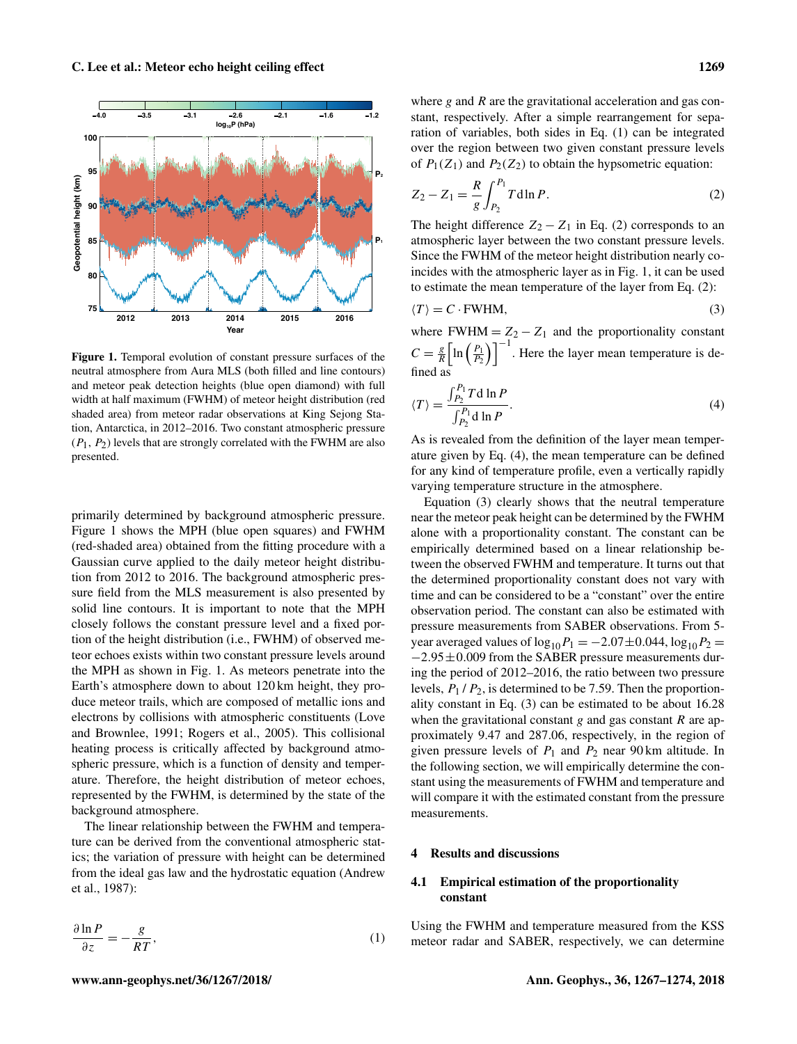

Figure 1. Temporal evolution of constant pressure surfaces of the neutral atmosphere from Aura MLS (both filled and line contours) and meteor peak detection heights (blue open diamond) with full width at half maximum (FWHM) of meteor height distribution (red shaded area) from meteor radar observations at King Sejong Station, Antarctica, in 2012–2016. Two constant atmospheric pressure  $(P_1, P_2)$  levels that are strongly correlated with the FWHM are also presented.

primarily determined by background atmospheric pressure. Figure 1 shows the MPH (blue open squares) and FWHM (red-shaded area) obtained from the fitting procedure with a Gaussian curve applied to the daily meteor height distribution from 2012 to 2016. The background atmospheric pressure field from the MLS measurement is also presented by solid line contours. It is important to note that the MPH closely follows the constant pressure level and a fixed portion of the height distribution (i.e., FWHM) of observed meteor echoes exists within two constant pressure levels around the MPH as shown in Fig. 1. As meteors penetrate into the Earth's atmosphere down to about 120 km height, they produce meteor trails, which are composed of metallic ions and electrons by collisions with atmospheric constituents (Love and Brownlee, 1991; Rogers et al., 2005). This collisional heating process is critically affected by background atmospheric pressure, which is a function of density and temperature. Therefore, the height distribution of meteor echoes, represented by the FWHM, is determined by the state of the background atmosphere.

The linear relationship between the FWHM and temperature can be derived from the conventional atmospheric statics; the variation of pressure with height can be determined from the ideal gas law and the hydrostatic equation (Andrew et al., 1987):

$$
\frac{\partial \ln P}{\partial z} = -\frac{g}{RT},\tag{1}
$$

where  $g$  and  $R$  are the gravitational acceleration and gas constant, respectively. After a simple rearrangement for separation of variables, both sides in Eq. (1) can be integrated over the region between two given constant pressure levels of  $P_1(Z_1)$  and  $P_2(Z_2)$  to obtain the hypsometric equation:

$$
Z_2 - Z_1 = \frac{R}{g} \int_{P_2}^{P_1} T \, \mathrm{d} \ln P. \tag{2}
$$

The height difference  $Z_2 - Z_1$  in Eq. (2) corresponds to an atmospheric layer between the two constant pressure levels. Since the FWHM of the meteor height distribution nearly coincides with the atmospheric layer as in Fig. 1, it can be used to estimate the mean temperature of the layer from Eq. (2):

$$
\langle T \rangle = C \cdot \text{FWHM},\tag{3}
$$

where FWHM =  $Z_2 - Z_1$  and the proportionality constant  $C=\frac{g}{k}$  $\frac{g}{R} \left[ \ln \left( \frac{P_1}{P_2} \right) \right]^{-1}$ . Here the layer mean temperature is defined as

$$
\langle T \rangle = \frac{\int_{P_2}^{P_1} T \, \mathrm{d} \ln P}{\int_{P_2}^{P_1} \mathrm{d} \ln P}.\tag{4}
$$

As is revealed from the definition of the layer mean temperature given by Eq. (4), the mean temperature can be defined for any kind of temperature profile, even a vertically rapidly varying temperature structure in the atmosphere.

Equation (3) clearly shows that the neutral temperature near the meteor peak height can be determined by the FWHM alone with a proportionality constant. The constant can be empirically determined based on a linear relationship between the observed FWHM and temperature. It turns out that the determined proportionality constant does not vary with time and can be considered to be a "constant" over the entire observation period. The constant can also be estimated with pressure measurements from SABER observations. From 5 year averaged values of  $\log_{10}P_1 = -2.07 \pm 0.044$ ,  $\log_{10}P_2 =$  $-2.95\pm0.009$  from the SABER pressure measurements during the period of 2012–2016, the ratio between two pressure levels,  $P_1$  /  $P_2$ , is determined to be 7.59. Then the proportionality constant in Eq. (3) can be estimated to be about 16.28 when the gravitational constant g and gas constant  *are ap*proximately 9.47 and 287.06, respectively, in the region of given pressure levels of  $P_1$  and  $P_2$  near 90 km altitude. In the following section, we will empirically determine the constant using the measurements of FWHM and temperature and will compare it with the estimated constant from the pressure measurements.

## 4 Results and discussions

#### 4.1 Empirical estimation of the proportionality constant

Using the FWHM and temperature measured from the KSS meteor radar and SABER, respectively, we can determine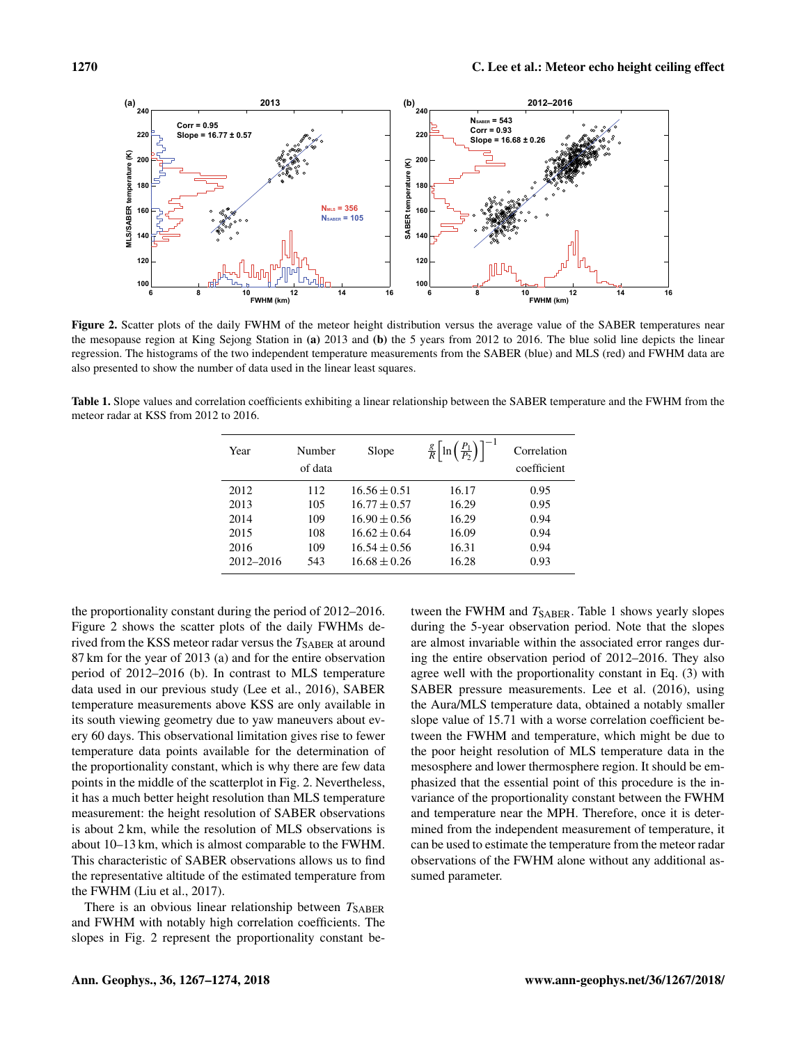

Figure 2. Scatter plots of the daily FWHM of the meteor height distribution versus the average value of the SABER temperatures near the mesopause region at King Sejong Station in (a) 2013 and (b) the 5 years from 2012 to 2016. The blue solid line depicts the linear regression. The histograms of the two independent temperature measurements from the SABER (blue) and MLS (red) and FWHM data are also presented to show the number of data used in the linear least squares.

Table 1. Slope values and correlation coefficients exhibiting a linear relationship between the SABER temperature and the FWHM from the meteor radar at KSS from 2012 to 2016.

| Year      | Number<br>of data | Slope            | $\left[\frac{P_1}{P_2}\right]$<br>$\frac{g}{R}$ | Correlation<br>coefficient |
|-----------|-------------------|------------------|-------------------------------------------------|----------------------------|
| 2012      | 112               | $16.56 \pm 0.51$ | 16.17                                           | 0.95                       |
| 2013      | 105               | $16.77 \pm 0.57$ | 16.29                                           | 0.95                       |
| 2014      | 109               | $16.90 \pm 0.56$ | 16.29                                           | 0.94                       |
| 2015      | 108               | $16.62 \pm 0.64$ | 16.09                                           | 0.94                       |
| 2016      | 109               | $16.54 \pm 0.56$ | 16.31                                           | 0.94                       |
| 2012-2016 | 543               | $16.68 \pm 0.26$ | 16.28                                           | 0.93                       |

the proportionality constant during the period of 2012–2016. Figure 2 shows the scatter plots of the daily FWHMs derived from the KSS meteor radar versus the  $T_{\text{SABER}}$  at around 87 km for the year of 2013 (a) and for the entire observation period of 2012–2016 (b). In contrast to MLS temperature data used in our previous study (Lee et al., 2016), SABER temperature measurements above KSS are only available in its south viewing geometry due to yaw maneuvers about every 60 days. This observational limitation gives rise to fewer temperature data points available for the determination of the proportionality constant, which is why there are few data points in the middle of the scatterplot in Fig. 2. Nevertheless, it has a much better height resolution than MLS temperature measurement: the height resolution of SABER observations is about 2 km, while the resolution of MLS observations is about 10–13 km, which is almost comparable to the FWHM. This characteristic of SABER observations allows us to find the representative altitude of the estimated temperature from the FWHM (Liu et al., 2017).

There is an obvious linear relationship between  $T_{\text{SABER}}$ and FWHM with notably high correlation coefficients. The slopes in Fig. 2 represent the proportionality constant between the FWHM and  $T_{SABER}$ . Table 1 shows yearly slopes during the 5-year observation period. Note that the slopes are almost invariable within the associated error ranges during the entire observation period of 2012–2016. They also agree well with the proportionality constant in Eq. (3) with SABER pressure measurements. Lee et al. (2016), using the Aura/MLS temperature data, obtained a notably smaller slope value of 15.71 with a worse correlation coefficient between the FWHM and temperature, which might be due to the poor height resolution of MLS temperature data in the mesosphere and lower thermosphere region. It should be emphasized that the essential point of this procedure is the invariance of the proportionality constant between the FWHM and temperature near the MPH. Therefore, once it is determined from the independent measurement of temperature, it can be used to estimate the temperature from the meteor radar observations of the FWHM alone without any additional assumed parameter.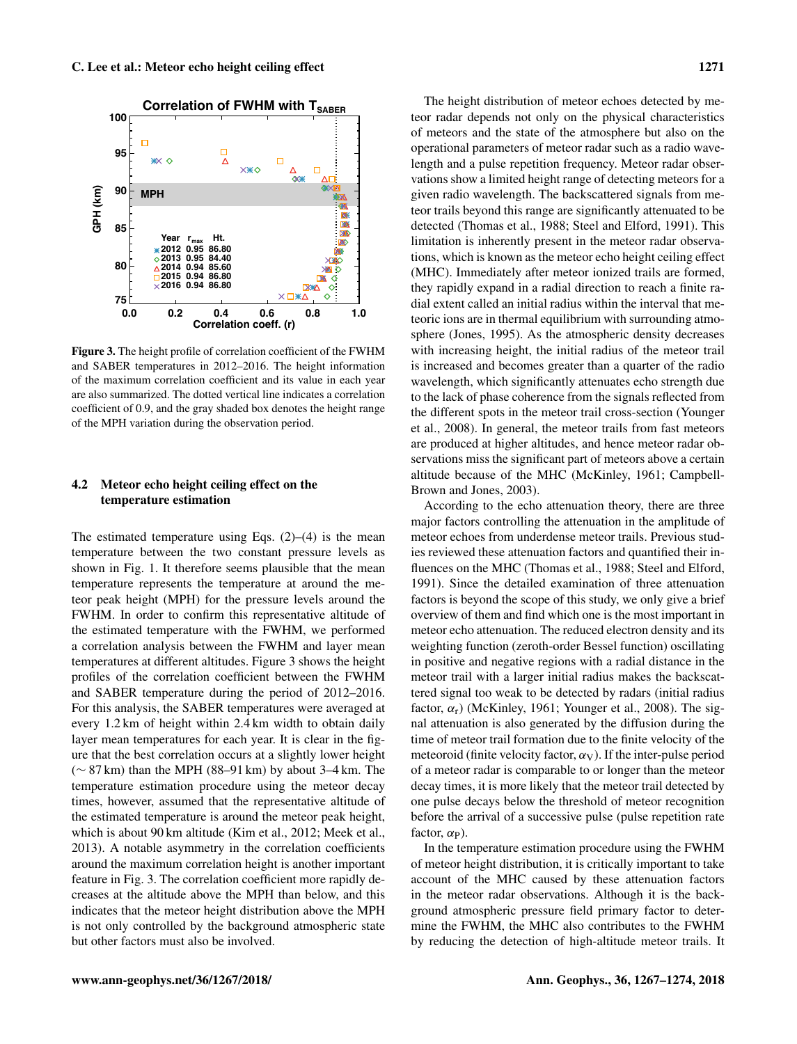**MPH**

**80**

**85**

**90**

**GPH (km)**

**95**

**100**



 $\Diamond$ **FW**  $\Diamond$ **DOMA** ◇

**0.0 0.2 0.4 0.6 0.8 1.0 Correlation coeff. (r) 75** Figure 3. The height profile of correlation coefficient of the FWHM and SABER temperatures in 2012–2016. The height information of the maximum correlation coefficient and its value in each year are also summarized. The dotted vertical line indicates a correlation coefficient of 0.9, and the gray shaded box denotes the height range

## 4.2 Meteor echo height ceiling effect on the temperature estimation

of the MPH variation during the observation period.

**2015 0.94 86.80 2016 0.94** 

The estimated temperature using Eqs.  $(2)$ – $(4)$  is the mean temperature between the two constant pressure levels as shown in Fig. 1. It therefore seems plausible that the mean temperature represents the temperature at around the meteor peak height (MPH) for the pressure levels around the FWHM. In order to confirm this representative altitude of the estimated temperature with the FWHM, we performed a correlation analysis between the FWHM and layer mean temperatures at different altitudes. Figure 3 shows the height profiles of the correlation coefficient between the FWHM and SABER temperature during the period of 2012–2016. For this analysis, the SABER temperatures were averaged at every 1.2 km of height within 2.4 km width to obtain daily layer mean temperatures for each year. It is clear in the figure that the best correlation occurs at a slightly lower height  $(\sim 87 \text{ km})$  than the MPH (88–91 km) by about 3–4 km. The temperature estimation procedure using the meteor decay times, however, assumed that the representative altitude of the estimated temperature is around the meteor peak height, which is about 90 km altitude (Kim et al., 2012; Meek et al., 2013). A notable asymmetry in the correlation coefficients around the maximum correlation height is another important feature in Fig. 3. The correlation coefficient more rapidly decreases at the altitude above the MPH than below, and this indicates that the meteor height distribution above the MPH is not only controlled by the background atmospheric state but other factors must also be involved.

The height distribution of meteor echoes detected by meteor radar depends not only on the physical characteristics of meteors and the state of the atmosphere but also on the operational parameters of meteor radar such as a radio wavelength and a pulse repetition frequency. Meteor radar observations show a limited height range of detecting meteors for a given radio wavelength. The backscattered signals from meteor trails beyond this range are significantly attenuated to be detected (Thomas et al., 1988; Steel and Elford, 1991). This limitation is inherently present in the meteor radar observations, which is known as the meteor echo height ceiling effect (MHC). Immediately after meteor ionized trails are formed, they rapidly expand in a radial direction to reach a finite radial extent called an initial radius within the interval that meteoric ions are in thermal equilibrium with surrounding atmosphere (Jones, 1995). As the atmospheric density decreases with increasing height, the initial radius of the meteor trail is increased and becomes greater than a quarter of the radio wavelength, which significantly attenuates echo strength due to the lack of phase coherence from the signals reflected from the different spots in the meteor trail cross-section (Younger et al., 2008). In general, the meteor trails from fast meteors are produced at higher altitudes, and hence meteor radar observations miss the significant part of meteors above a certain altitude because of the MHC (McKinley, 1961; Campbell-Brown and Jones, 2003).

According to the echo attenuation theory, there are three major factors controlling the attenuation in the amplitude of meteor echoes from underdense meteor trails. Previous studies reviewed these attenuation factors and quantified their influences on the MHC (Thomas et al., 1988; Steel and Elford, 1991). Since the detailed examination of three attenuation factors is beyond the scope of this study, we only give a brief overview of them and find which one is the most important in meteor echo attenuation. The reduced electron density and its weighting function (zeroth-order Bessel function) oscillating in positive and negative regions with a radial distance in the meteor trail with a larger initial radius makes the backscattered signal too weak to be detected by radars (initial radius factor,  $\alpha_r$ ) (McKinley, 1961; Younger et al., 2008). The signal attenuation is also generated by the diffusion during the time of meteor trail formation due to the finite velocity of the meteoroid (finite velocity factor,  $\alpha_V$ ). If the inter-pulse period of a meteor radar is comparable to or longer than the meteor decay times, it is more likely that the meteor trail detected by one pulse decays below the threshold of meteor recognition before the arrival of a successive pulse (pulse repetition rate factor,  $\alpha_P$ ).

In the temperature estimation procedure using the FWHM of meteor height distribution, it is critically important to take account of the MHC caused by these attenuation factors in the meteor radar observations. Although it is the background atmospheric pressure field primary factor to determine the FWHM, the MHC also contributes to the FWHM by reducing the detection of high-altitude meteor trails. It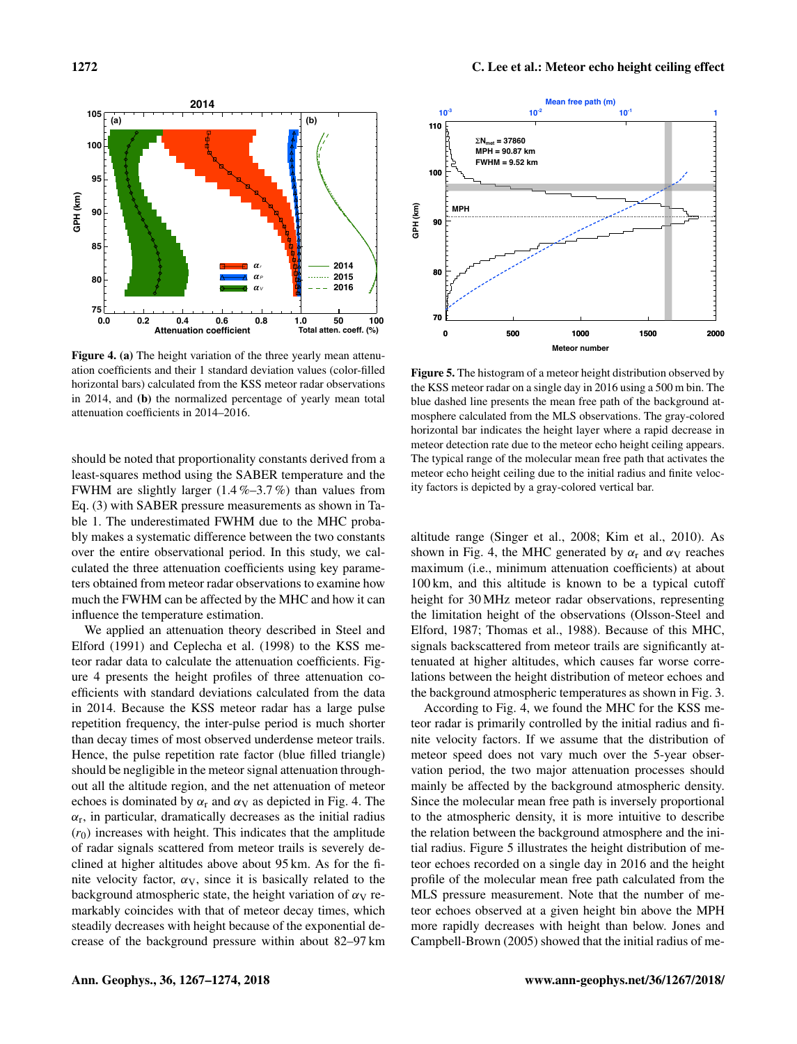

Figure 4. (a) The height variation of the three yearly mean attenuation coefficients and their 1 standard deviation values (color-filled horizontal bars) calculated from the KSS meteor radar observations in 2014, and (b) the normalized percentage of yearly mean total attenuation coefficients in 2014–2016.

should be noted that proportionality constants derived from a least-squares method using the SABER temperature and the FWHM are slightly larger  $(1.4\% - 3.7\%)$  than values from Eq. (3) with SABER pressure measurements as shown in Table 1. The underestimated FWHM due to the MHC probably makes a systematic difference between the two constants over the entire observational period. In this study, we calculated the three attenuation coefficients using key parameters obtained from meteor radar observations to examine how much the FWHM can be affected by the MHC and how it can influence the temperature estimation.

We applied an attenuation theory described in Steel and Elford (1991) and Ceplecha et al. (1998) to the KSS meteor radar data to calculate the attenuation coefficients. Figure 4 presents the height profiles of three attenuation coefficients with standard deviations calculated from the data in 2014. Because the KSS meteor radar has a large pulse repetition frequency, the inter-pulse period is much shorter than decay times of most observed underdense meteor trails. Hence, the pulse repetition rate factor (blue filled triangle) should be negligible in the meteor signal attenuation throughout all the altitude region, and the net attenuation of meteor echoes is dominated by  $\alpha_r$  and  $\alpha_V$  as depicted in Fig. 4. The  $\alpha_r$ , in particular, dramatically decreases as the initial radius  $(r_0)$  increases with height. This indicates that the amplitude of radar signals scattered from meteor trails is severely declined at higher altitudes above about 95 km. As for the finite velocity factor,  $\alpha_V$ , since it is basically related to the background atmospheric state, the height variation of  $\alpha_V$  remarkably coincides with that of meteor decay times, which steadily decreases with height because of the exponential decrease of the background pressure within about 82–97 km



Figure 5. The histogram of a meteor height distribution observed by the KSS meteor radar on a single day in 2016 using a 500 m bin. The blue dashed line presents the mean free path of the background atmosphere calculated from the MLS observations. The gray-colored horizontal bar indicates the height layer where a rapid decrease in meteor detection rate due to the meteor echo height ceiling appears. The typical range of the molecular mean free path that activates the meteor echo height ceiling due to the initial radius and finite velocity factors is depicted by a gray-colored vertical bar.

altitude range (Singer et al., 2008; Kim et al., 2010). As shown in Fig. 4, the MHC generated by  $\alpha_r$  and  $\alpha_V$  reaches maximum (i.e., minimum attenuation coefficients) at about 100 km, and this altitude is known to be a typical cutoff height for 30 MHz meteor radar observations, representing the limitation height of the observations (Olsson-Steel and Elford, 1987; Thomas et al., 1988). Because of this MHC, signals backscattered from meteor trails are significantly attenuated at higher altitudes, which causes far worse correlations between the height distribution of meteor echoes and the background atmospheric temperatures as shown in Fig. 3.

According to Fig. 4, we found the MHC for the KSS meteor radar is primarily controlled by the initial radius and finite velocity factors. If we assume that the distribution of meteor speed does not vary much over the 5-year observation period, the two major attenuation processes should mainly be affected by the background atmospheric density. Since the molecular mean free path is inversely proportional to the atmospheric density, it is more intuitive to describe the relation between the background atmosphere and the initial radius. Figure 5 illustrates the height distribution of meteor echoes recorded on a single day in 2016 and the height profile of the molecular mean free path calculated from the MLS pressure measurement. Note that the number of meteor echoes observed at a given height bin above the MPH more rapidly decreases with height than below. Jones and Campbell-Brown (2005) showed that the initial radius of me-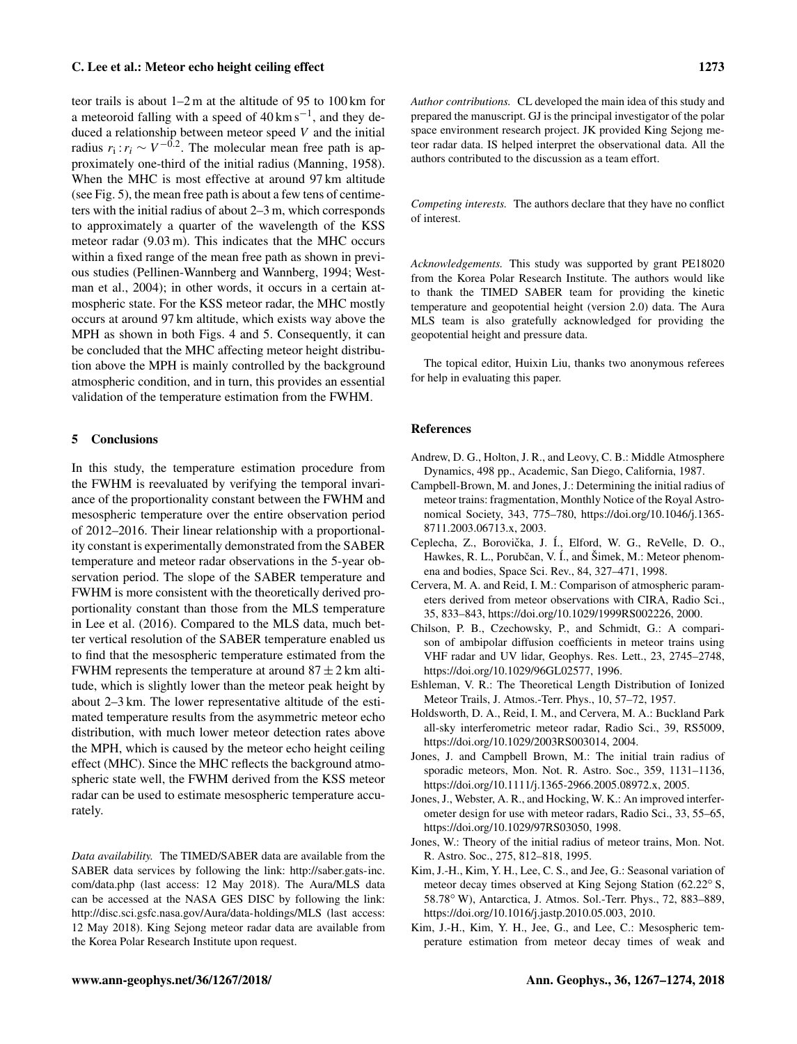#### C. Lee et al.: Meteor echo height ceiling effect 1273

teor trails is about 1–2 m at the altitude of 95 to 100 km for a meteoroid falling with a speed of  $40 \text{ km s}^{-1}$ , and they deduced a relationship between meteor speed  $V$  and the initial radius  $r_i$ :  $r_i \sim V^{-0.2}$ . The molecular mean free path is approximately one-third of the initial radius (Manning, 1958). When the MHC is most effective at around 97 km altitude (see Fig. 5), the mean free path is about a few tens of centimeters with the initial radius of about 2–3 m, which corresponds to approximately a quarter of the wavelength of the KSS meteor radar (9.03 m). This indicates that the MHC occurs within a fixed range of the mean free path as shown in previous studies (Pellinen-Wannberg and Wannberg, 1994; Westman et al., 2004); in other words, it occurs in a certain atmospheric state. For the KSS meteor radar, the MHC mostly occurs at around 97 km altitude, which exists way above the MPH as shown in both Figs. 4 and 5. Consequently, it can be concluded that the MHC affecting meteor height distribution above the MPH is mainly controlled by the background atmospheric condition, and in turn, this provides an essential validation of the temperature estimation from the FWHM.

## 5 Conclusions

In this study, the temperature estimation procedure from the FWHM is reevaluated by verifying the temporal invariance of the proportionality constant between the FWHM and mesospheric temperature over the entire observation period of 2012–2016. Their linear relationship with a proportionality constant is experimentally demonstrated from the SABER temperature and meteor radar observations in the 5-year observation period. The slope of the SABER temperature and FWHM is more consistent with the theoretically derived proportionality constant than those from the MLS temperature in Lee et al. (2016). Compared to the MLS data, much better vertical resolution of the SABER temperature enabled us to find that the mesospheric temperature estimated from the FWHM represents the temperature at around  $87 \pm 2$  km altitude, which is slightly lower than the meteor peak height by about 2–3 km. The lower representative altitude of the estimated temperature results from the asymmetric meteor echo distribution, with much lower meteor detection rates above the MPH, which is caused by the meteor echo height ceiling effect (MHC). Since the MHC reflects the background atmospheric state well, the FWHM derived from the KSS meteor radar can be used to estimate mesospheric temperature accurately.

*Data availability.* The TIMED/SABER data are available from the SABER data services by following the link: [http://saber.gats-inc.](http://saber.gats-inc.com/data.php) [com/data.php](http://saber.gats-inc.com/data.php) (last access: 12 May 2018). The Aura/MLS data can be accessed at the NASA GES DISC by following the link: <http://disc.sci.gsfc.nasa.gov/Aura/data-holdings/MLS> (last access: 12 May 2018). King Sejong meteor radar data are available from the Korea Polar Research Institute upon request.

*Author contributions.* CL developed the main idea of this study and prepared the manuscript. GJ is the principal investigator of the polar space environment research project. JK provided King Sejong meteor radar data. IS helped interpret the observational data. All the authors contributed to the discussion as a team effort.

*Competing interests.* The authors declare that they have no conflict of interest.

*Acknowledgements.* This study was supported by grant PE18020 from the Korea Polar Research Institute. The authors would like to thank the TIMED SABER team for providing the kinetic temperature and geopotential height (version 2.0) data. The Aura MLS team is also gratefully acknowledged for providing the geopotential height and pressure data.

The topical editor, Huixin Liu, thanks two anonymous referees for help in evaluating this paper.

#### References

- Andrew, D. G., Holton, J. R., and Leovy, C. B.: Middle Atmosphere Dynamics, 498 pp., Academic, San Diego, California, 1987.
- Campbell-Brown, M. and Jones, J.: Determining the initial radius of meteor trains: fragmentation, Monthly Notice of the Royal Astronomical Society, 343, 775–780, https://doi.org[/10.1046/j.1365-](https://doi.org/10.1046/j.1365-8711.2003.06713.x) [8711.2003.06713.x,](https://doi.org/10.1046/j.1365-8711.2003.06713.x) 2003.
- Ceplecha, Z., Borovička, J. Í., Elford, W. G., ReVelle, D. O., Hawkes, R. L., Porubčan, V. Í., and Šimek, M.: Meteor phenomena and bodies, Space Sci. Rev., 84, 327–471, 1998.
- Cervera, M. A. and Reid, I. M.: Comparison of atmospheric parameters derived from meteor observations with CIRA, Radio Sci., 35, 833–843, https://doi.org[/10.1029/1999RS002226,](https://doi.org/10.1029/1999RS002226) 2000.
- Chilson, P. B., Czechowsky, P., and Schmidt, G.: A comparison of ambipolar diffusion coefficients in meteor trains using VHF radar and UV lidar, Geophys. Res. Lett., 23, 2745–2748, https://doi.org[/10.1029/96GL02577,](https://doi.org/10.1029/96GL02577) 1996.
- Eshleman, V. R.: The Theoretical Length Distribution of Ionized Meteor Trails, J. Atmos.-Terr. Phys., 10, 57–72, 1957.
- Holdsworth, D. A., Reid, I. M., and Cervera, M. A.: Buckland Park all-sky interferometric meteor radar, Radio Sci., 39, RS5009, https://doi.org[/10.1029/2003RS003014,](https://doi.org/10.1029/2003RS003014) 2004.
- Jones, J. and Campbell Brown, M.: The initial train radius of sporadic meteors, Mon. Not. R. Astro. Soc., 359, 1131–1136, https://doi.org[/10.1111/j.1365-2966.2005.08972.x,](https://doi.org/10.1111/j.1365-2966.2005.08972.x) 2005.
- Jones, J., Webster, A. R., and Hocking, W. K.: An improved interferometer design for use with meteor radars, Radio Sci., 33, 55–65, https://doi.org[/10.1029/97RS03050,](https://doi.org/10.1029/97RS03050) 1998.
- Jones, W.: Theory of the initial radius of meteor trains, Mon. Not. R. Astro. Soc., 275, 812–818, 1995.
- Kim, J.-H., Kim, Y. H., Lee, C. S., and Jee, G.: Seasonal variation of meteor decay times observed at King Sejong Station (62.22◦ S, 58.78◦ W), Antarctica, J. Atmos. Sol.-Terr. Phys., 72, 883–889, https://doi.org[/10.1016/j.jastp.2010.05.003,](https://doi.org/10.1016/j.jastp.2010.05.003) 2010.
- Kim, J.-H., Kim, Y. H., Jee, G., and Lee, C.: Mesospheric temperature estimation from meteor decay times of weak and